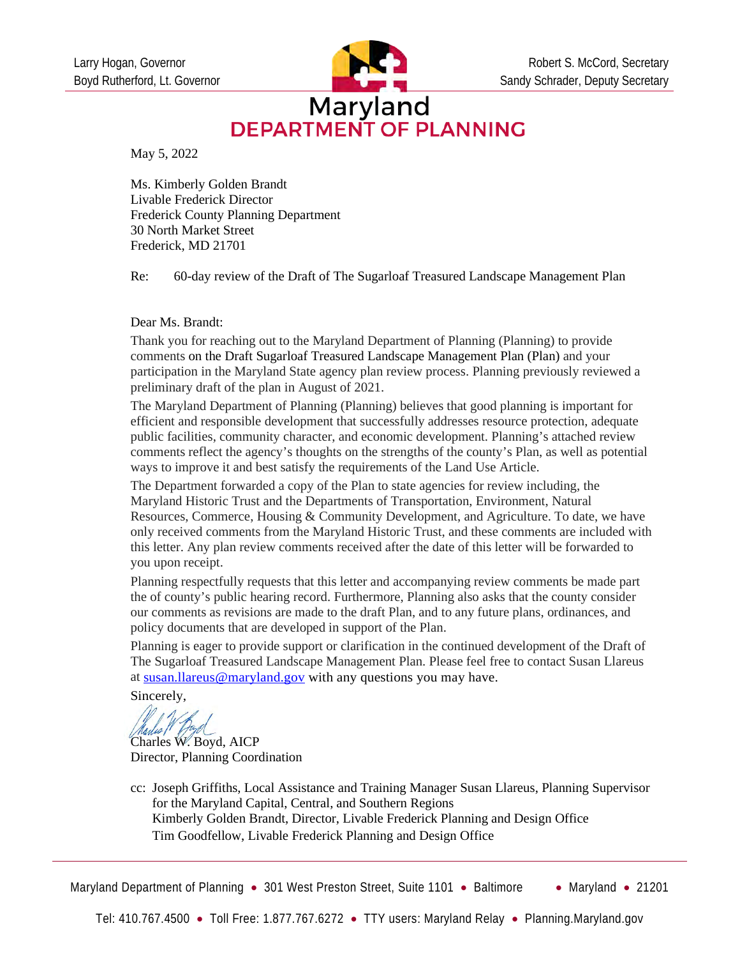

## Maryland **DEPARTMENT OF PLANNING**

May 5, 2022

Ms. Kimberly Golden Brandt Livable Frederick Director Frederick County Planning Department 30 North Market Street Frederick, MD 21701

Re: 60-day review of the Draft of The Sugarloaf Treasured Landscape Management Plan

#### Dear Ms. Brandt:

Thank you for reaching out to the Maryland Department of Planning (Planning) to provide comments on the Draft Sugarloaf Treasured Landscape Management Plan (Plan) and your participation in the Maryland State agency plan review process. Planning previously reviewed a preliminary draft of the plan in August of 2021.

The Maryland Department of Planning (Planning) believes that good planning is important for efficient and responsible development that successfully addresses resource protection, adequate public facilities, community character, and economic development. Planning's attached review comments reflect the agency's thoughts on the strengths of the county's Plan, as well as potential ways to improve it and best satisfy the requirements of the Land Use Article.

The Department forwarded a copy of the Plan to state agencies for review including, the Maryland Historic Trust and the Departments of Transportation, Environment, Natural Resources, Commerce, Housing & Community Development, and Agriculture. To date, we have only received comments from the Maryland Historic Trust, and these comments are included with this letter. Any plan review comments received after the date of this letter will be forwarded to you upon receipt.

Planning respectfully requests that this letter and accompanying review comments be made part the of county's public hearing record. Furthermore, Planning also asks that the county consider our comments as revisions are made to the draft Plan, and to any future plans, ordinances, and policy documents that are developed in support of the Plan.

Planning is eager to provide support or clarification in the continued development of the Draft of The Sugarloaf Treasured Landscape Management Plan. Please feel free to contact Susan Llareus a[t susan.llareus@maryland.gov](mailto:susan.llareus@maryland.gov) with any questions you may have.

Sincerely,

Charles W. Boyd, AICP Director, Planning Coordination

cc: Joseph Griffiths, Local Assistance and Training Manager Susan Llareus, Planning Supervisor for the Maryland Capital, Central, and Southern Regions Kimberly Golden Brandt, Director, Livable Frederick Planning and Design Office Tim Goodfellow, Livable Frederick Planning and Design Office

Maryland Department of Planning • 301 West Preston Street, Suite 1101 • Baltimore • Maryland • 21201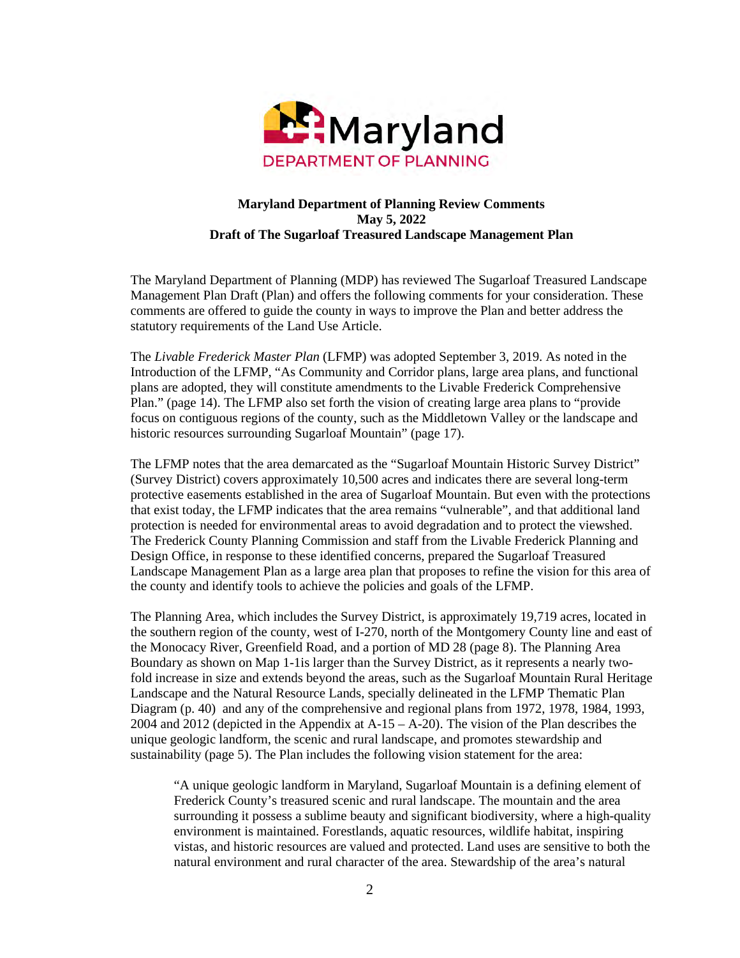

#### **Maryland Department of Planning Review Comments May 5, 2022 Draft of The Sugarloaf Treasured Landscape Management Plan**

The Maryland Department of Planning (MDP) has reviewed The Sugarloaf Treasured Landscape Management Plan Draft (Plan) and offers the following comments for your consideration. These comments are offered to guide the county in ways to improve the Plan and better address the statutory requirements of the Land Use Article.

The *Livable Frederick Master Plan* (LFMP) was adopted September 3, 2019. As noted in the Introduction of the LFMP, "As Community and Corridor plans, large area plans, and functional plans are adopted, they will constitute amendments to the Livable Frederick Comprehensive Plan." (page 14). The LFMP also set forth the vision of creating large area plans to "provide focus on contiguous regions of the county, such as the Middletown Valley or the landscape and historic resources surrounding Sugarloaf Mountain" (page 17).

The LFMP notes that the area demarcated as the "Sugarloaf Mountain Historic Survey District" (Survey District) covers approximately 10,500 acres and indicates there are several long-term protective easements established in the area of Sugarloaf Mountain. But even with the protections that exist today, the LFMP indicates that the area remains "vulnerable", and that additional land protection is needed for environmental areas to avoid degradation and to protect the viewshed. The Frederick County Planning Commission and staff from the Livable Frederick Planning and Design Office, in response to these identified concerns, prepared the Sugarloaf Treasured Landscape Management Plan as a large area plan that proposes to refine the vision for this area of the county and identify tools to achieve the policies and goals of the LFMP.

The Planning Area, which includes the Survey District, is approximately 19,719 acres, located in the southern region of the county, west of I-270, north of the Montgomery County line and east of the Monocacy River, Greenfield Road, and a portion of MD 28 (page 8). The Planning Area Boundary as shown on Map 1-1is larger than the Survey District, as it represents a nearly twofold increase in size and extends beyond the areas, such as the Sugarloaf Mountain Rural Heritage Landscape and the Natural Resource Lands, specially delineated in the LFMP Thematic Plan Diagram (p. 40) and any of the comprehensive and regional plans from 1972, 1978, 1984, 1993, 2004 and 2012 (depicted in the Appendix at A-15 – A-20). The vision of the Plan describes the unique geologic landform, the scenic and rural landscape, and promotes stewardship and sustainability (page 5). The Plan includes the following vision statement for the area:

"A unique geologic landform in Maryland, Sugarloaf Mountain is a defining element of Frederick County's treasured scenic and rural landscape. The mountain and the area surrounding it possess a sublime beauty and significant biodiversity, where a high-quality environment is maintained. Forestlands, aquatic resources, wildlife habitat, inspiring vistas, and historic resources are valued and protected. Land uses are sensitive to both the natural environment and rural character of the area. Stewardship of the area's natural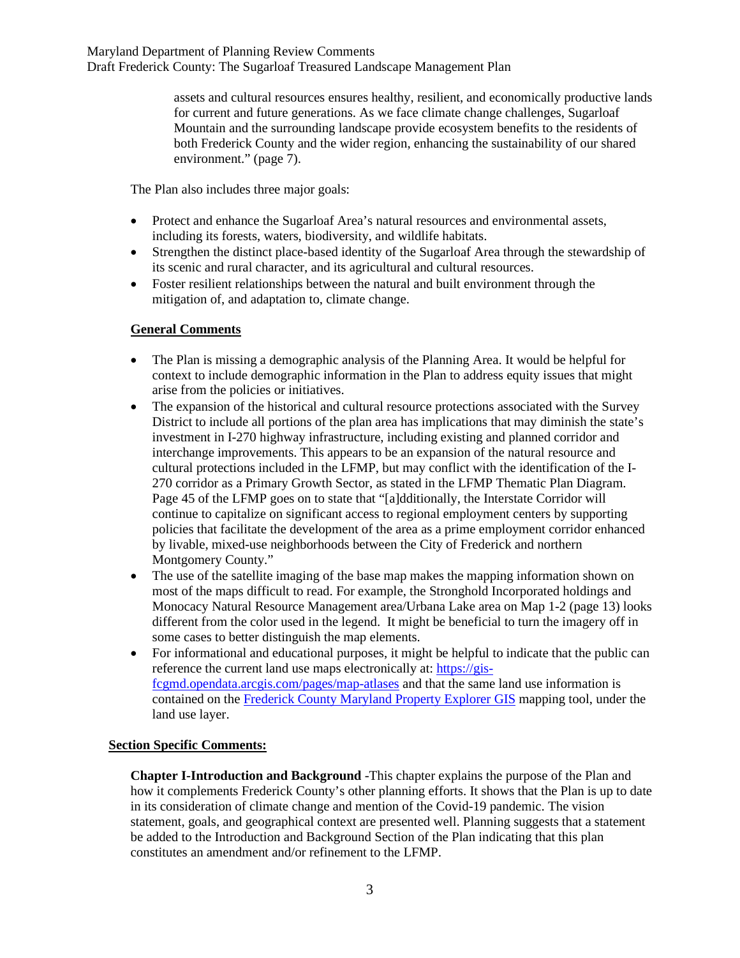assets and cultural resources ensures healthy, resilient, and economically productive lands for current and future generations. As we face climate change challenges, Sugarloaf Mountain and the surrounding landscape provide ecosystem benefits to the residents of both Frederick County and the wider region, enhancing the sustainability of our shared environment." (page 7).

The Plan also includes three major goals:

- Protect and enhance the Sugarloaf Area's natural resources and environmental assets, including its forests, waters, biodiversity, and wildlife habitats.
- Strengthen the distinct place-based identity of the Sugarloaf Area through the stewardship of its scenic and rural character, and its agricultural and cultural resources.
- Foster resilient relationships between the natural and built environment through the mitigation of, and adaptation to, climate change.

### **General Comments**

- The Plan is missing a demographic analysis of the Planning Area. It would be helpful for context to include demographic information in the Plan to address equity issues that might arise from the policies or initiatives.
- The expansion of the historical and cultural resource protections associated with the Survey District to include all portions of the plan area has implications that may diminish the state's investment in I-270 highway infrastructure, including existing and planned corridor and interchange improvements. This appears to be an expansion of the natural resource and cultural protections included in the LFMP, but may conflict with the identification of the I-270 corridor as a Primary Growth Sector, as stated in the LFMP Thematic Plan Diagram. Page 45 of the LFMP goes on to state that "[a]dditionally, the Interstate Corridor will continue to capitalize on significant access to regional employment centers by supporting policies that facilitate the development of the area as a prime employment corridor enhanced by livable, mixed-use neighborhoods between the City of Frederick and northern Montgomery County."
- The use of the satellite imaging of the base map makes the mapping information shown on most of the maps difficult to read. For example, the Stronghold Incorporated holdings and Monocacy Natural Resource Management area/Urbana Lake area on Map 1-2 (page 13) looks different from the color used in the legend. It might be beneficial to turn the imagery off in some cases to better distinguish the map elements.
- For informational and educational purposes, it might be helpful to indicate that the public can reference the current land use maps electronically at: [https://gis](https://gis-fcgmd.opendata.arcgis.com/pages/map-atlases)[fcgmd.opendata.arcgis.com/pages/map-atlases](https://gis-fcgmd.opendata.arcgis.com/pages/map-atlases) and that the same land use information is contained on the [Frederick County Maryland Property Explorer GIS](https://maps.frederickcountymd.gov/Html5Viewer/Index.html?configBase=https://maps.frederickcountymd.gov/Geocortex/Essentials/REST/sites/Citizen_Service_Center/viewers/Citizen_Service_Center/virtualdirectory/Resources/Config/Default) mapping tool, under the land use layer.

### **Section Specific Comments:**

**Chapter I-Introduction and Background** -This chapter explains the purpose of the Plan and how it complements Frederick County's other planning efforts. It shows that the Plan is up to date in its consideration of climate change and mention of the Covid-19 pandemic. The vision statement, goals, and geographical context are presented well. Planning suggests that a statement be added to the Introduction and Background Section of the Plan indicating that this plan constitutes an amendment and/or refinement to the LFMP.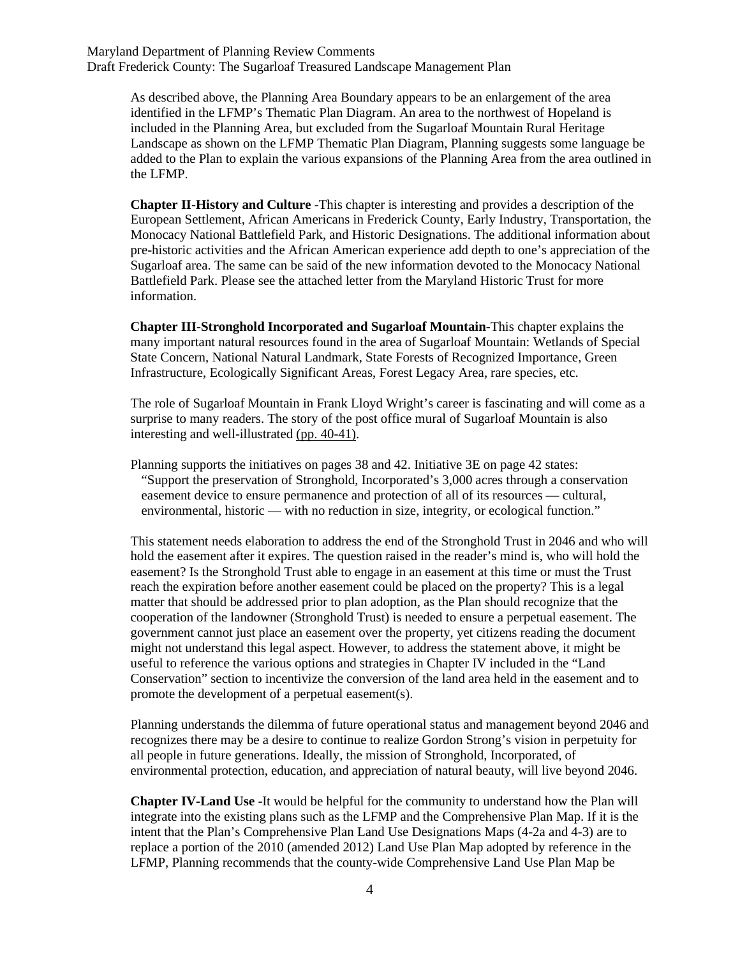> As described above, the Planning Area Boundary appears to be an enlargement of the area identified in the LFMP's Thematic Plan Diagram. An area to the northwest of Hopeland is included in the Planning Area, but excluded from the Sugarloaf Mountain Rural Heritage Landscape as shown on the LFMP Thematic Plan Diagram, Planning suggests some language be added to the Plan to explain the various expansions of the Planning Area from the area outlined in the LFMP.

> **Chapter II-History and Culture** -This chapter is interesting and provides a description of the European Settlement, African Americans in Frederick County, Early Industry, Transportation, the Monocacy National Battlefield Park, and Historic Designations. The additional information about pre-historic activities and the African American experience add depth to one's appreciation of the Sugarloaf area. The same can be said of the new information devoted to the Monocacy National Battlefield Park. Please see the attached letter from the Maryland Historic Trust for more information.

**Chapter III-Stronghold Incorporated and Sugarloaf Mountain-**This chapter explains the many important natural resources found in the area of Sugarloaf Mountain: Wetlands of Special State Concern, National Natural Landmark, State Forests of Recognized Importance, Green Infrastructure, Ecologically Significant Areas, Forest Legacy Area, rare species, etc.

The role of Sugarloaf Mountain in Frank Lloyd Wright's career is fascinating and will come as a surprise to many readers. The story of the post office mural of Sugarloaf Mountain is also interesting and well-illustrated (pp. 40-41).

Planning supports the initiatives on pages 38 and 42. Initiative 3E on page 42 states: "Support the preservation of Stronghold, Incorporated's 3,000 acres through a conservation easement device to ensure permanence and protection of all of its resources — cultural, environmental, historic — with no reduction in size, integrity, or ecological function."

This statement needs elaboration to address the end of the Stronghold Trust in 2046 and who will hold the easement after it expires. The question raised in the reader's mind is, who will hold the easement? Is the Stronghold Trust able to engage in an easement at this time or must the Trust reach the expiration before another easement could be placed on the property? This is a legal matter that should be addressed prior to plan adoption, as the Plan should recognize that the cooperation of the landowner (Stronghold Trust) is needed to ensure a perpetual easement. The government cannot just place an easement over the property, yet citizens reading the document might not understand this legal aspect. However, to address the statement above, it might be useful to reference the various options and strategies in Chapter IV included in the "Land Conservation" section to incentivize the conversion of the land area held in the easement and to promote the development of a perpetual easement(s).

Planning understands the dilemma of future operational status and management beyond 2046 and recognizes there may be a desire to continue to realize Gordon Strong's vision in perpetuity for all people in future generations. Ideally, the mission of Stronghold, Incorporated, of environmental protection, education, and appreciation of natural beauty, will live beyond 2046.

**Chapter IV-Land Use** -It would be helpful for the community to understand how the Plan will integrate into the existing plans such as the LFMP and the Comprehensive Plan Map. If it is the intent that the Plan's Comprehensive Plan Land Use Designations Maps (4-2a and 4-3) are to replace a portion of the 2010 (amended 2012) Land Use Plan Map adopted by reference in the LFMP, Planning recommends that the county-wide Comprehensive Land Use Plan Map be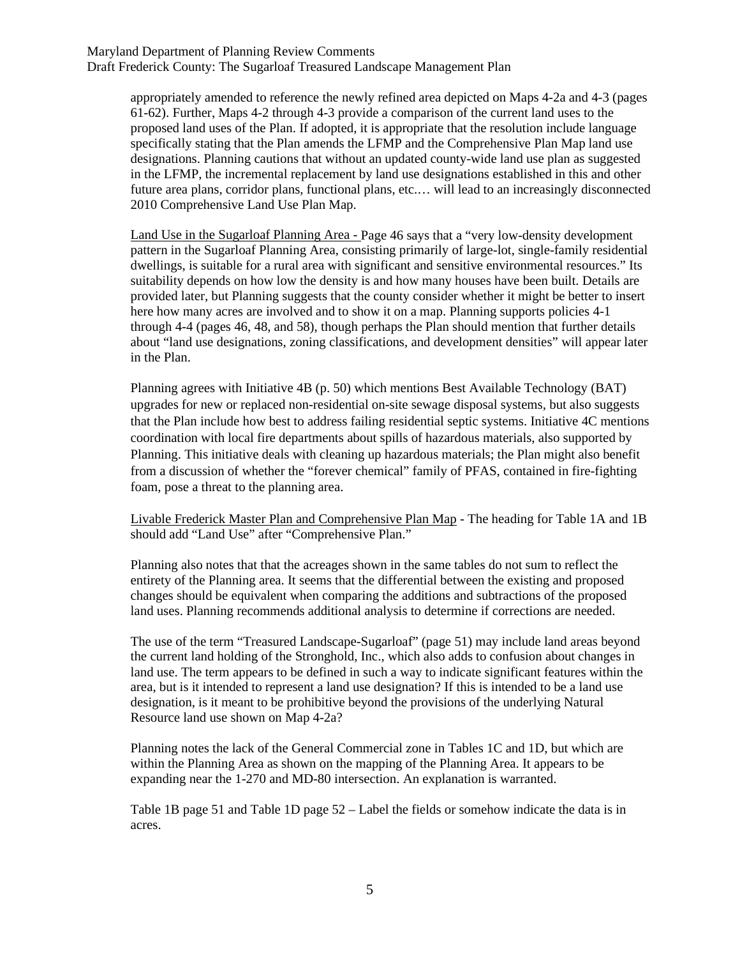> appropriately amended to reference the newly refined area depicted on Maps 4-2a and 4-3 (pages 61-62). Further, Maps 4-2 through 4-3 provide a comparison of the current land uses to the proposed land uses of the Plan. If adopted, it is appropriate that the resolution include language specifically stating that the Plan amends the LFMP and the Comprehensive Plan Map land use designations. Planning cautions that without an updated county-wide land use plan as suggested in the LFMP, the incremental replacement by land use designations established in this and other future area plans, corridor plans, functional plans, etc.… will lead to an increasingly disconnected 2010 Comprehensive Land Use Plan Map.

> Land Use in the Sugarloaf Planning Area - Page 46 says that a "very low-density development pattern in the Sugarloaf Planning Area, consisting primarily of large-lot, single-family residential dwellings, is suitable for a rural area with significant and sensitive environmental resources." Its suitability depends on how low the density is and how many houses have been built. Details are provided later, but Planning suggests that the county consider whether it might be better to insert here how many acres are involved and to show it on a map. Planning supports policies 4-1 through 4-4 (pages 46, 48, and 58), though perhaps the Plan should mention that further details about "land use designations, zoning classifications, and development densities" will appear later in the Plan.

> Planning agrees with Initiative 4B (p. 50) which mentions Best Available Technology (BAT) upgrades for new or replaced non-residential on-site sewage disposal systems, but also suggests that the Plan include how best to address failing residential septic systems. Initiative 4C mentions coordination with local fire departments about spills of hazardous materials, also supported by Planning. This initiative deals with cleaning up hazardous materials; the Plan might also benefit from a discussion of whether the "forever chemical" family of PFAS, contained in fire-fighting foam, pose a threat to the planning area.

> Livable Frederick Master Plan and Comprehensive Plan Map - The heading for Table 1A and 1B should add "Land Use" after "Comprehensive Plan."

Planning also notes that that the acreages shown in the same tables do not sum to reflect the entirety of the Planning area. It seems that the differential between the existing and proposed changes should be equivalent when comparing the additions and subtractions of the proposed land uses. Planning recommends additional analysis to determine if corrections are needed.

The use of the term "Treasured Landscape-Sugarloaf" (page 51) may include land areas beyond the current land holding of the Stronghold, Inc., which also adds to confusion about changes in land use. The term appears to be defined in such a way to indicate significant features within the area, but is it intended to represent a land use designation? If this is intended to be a land use designation, is it meant to be prohibitive beyond the provisions of the underlying Natural Resource land use shown on Map 4-2a?

Planning notes the lack of the General Commercial zone in Tables 1C and 1D, but which are within the Planning Area as shown on the mapping of the Planning Area. It appears to be expanding near the 1-270 and MD-80 intersection. An explanation is warranted.

Table 1B page 51 and Table 1D page 52 – Label the fields or somehow indicate the data is in acres.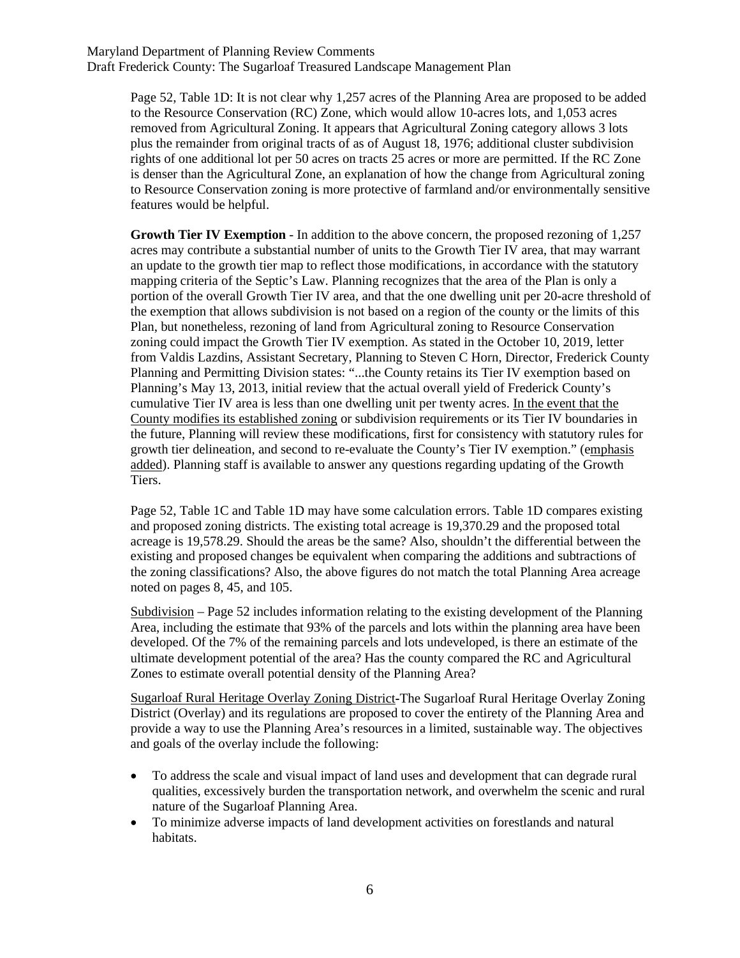Page 52, Table 1D: It is not clear why 1,257 acres of the Planning Area are proposed to be added to the Resource Conservation (RC) Zone, which would allow 10-acres lots, and 1,053 acres removed from Agricultural Zoning. It appears that Agricultural Zoning category allows 3 lots plus the remainder from original tracts of as of August 18, 1976; additional cluster subdivision rights of one additional lot per 50 acres on tracts 25 acres or more are permitted. If the RC Zone is denser than the Agricultural Zone, an explanation of how the change from Agricultural zoning to Resource Conservation zoning is more protective of farmland and/or environmentally sensitive features would be helpful.

**Growth Tier IV Exemption** - In addition to the above concern, the proposed rezoning of 1,257 acres may contribute a substantial number of units to the Growth Tier IV area, that may warrant an update to the growth tier map to reflect those modifications, in accordance with the statutory mapping criteria of the Septic's Law. Planning recognizes that the area of the Plan is only a portion of the overall Growth Tier IV area, and that the one dwelling unit per 20-acre threshold of the exemption that allows subdivision is not based on a region of the county or the limits of this Plan, but nonetheless, rezoning of land from Agricultural zoning to Resource Conservation zoning could impact the Growth Tier IV exemption. As stated in the October 10, 2019, letter from Valdis Lazdins, Assistant Secretary, Planning to Steven C Horn, Director, Frederick County Planning and Permitting Division states: "...the County retains its Tier IV exemption based on Planning's May 13, 2013, initial review that the actual overall yield of Frederick County's cumulative Tier IV area is less than one dwelling unit per twenty acres. In the event that the County modifies its established zoning or subdivision requirements or its Tier IV boundaries in the future, Planning will review these modifications, first for consistency with statutory rules for growth tier delineation, and second to re-evaluate the County's Tier IV exemption." (emphasis added). Planning staff is available to answer any questions regarding updating of the Growth Tiers.

Page 52, Table 1C and Table 1D may have some calculation errors. Table 1D compares existing and proposed zoning districts. The existing total acreage is 19,370.29 and the proposed total acreage is 19,578.29. Should the areas be the same? Also, shouldn't the differential between the existing and proposed changes be equivalent when comparing the additions and subtractions of the zoning classifications? Also, the above figures do not match the total Planning Area acreage noted on pages 8, 45, and 105.

Subdivision – Page 52 includes information relating to the existing development of the Planning Area, including the estimate that 93% of the parcels and lots within the planning area have been developed. Of the 7% of the remaining parcels and lots undeveloped, is there an estimate of the ultimate development potential of the area? Has the county compared the RC and Agricultural Zones to estimate overall potential density of the Planning Area?

Sugarloaf Rural Heritage Overlay Zoning District**-**The Sugarloaf Rural Heritage Overlay Zoning District (Overlay) and its regulations are proposed to cover the entirety of the Planning Area and provide a way to use the Planning Area's resources in a limited, sustainable way. The objectives and goals of the overlay include the following:

- To address the scale and visual impact of land uses and development that can degrade rural qualities, excessively burden the transportation network, and overwhelm the scenic and rural nature of the Sugarloaf Planning Area.
- To minimize adverse impacts of land development activities on forestlands and natural habitats.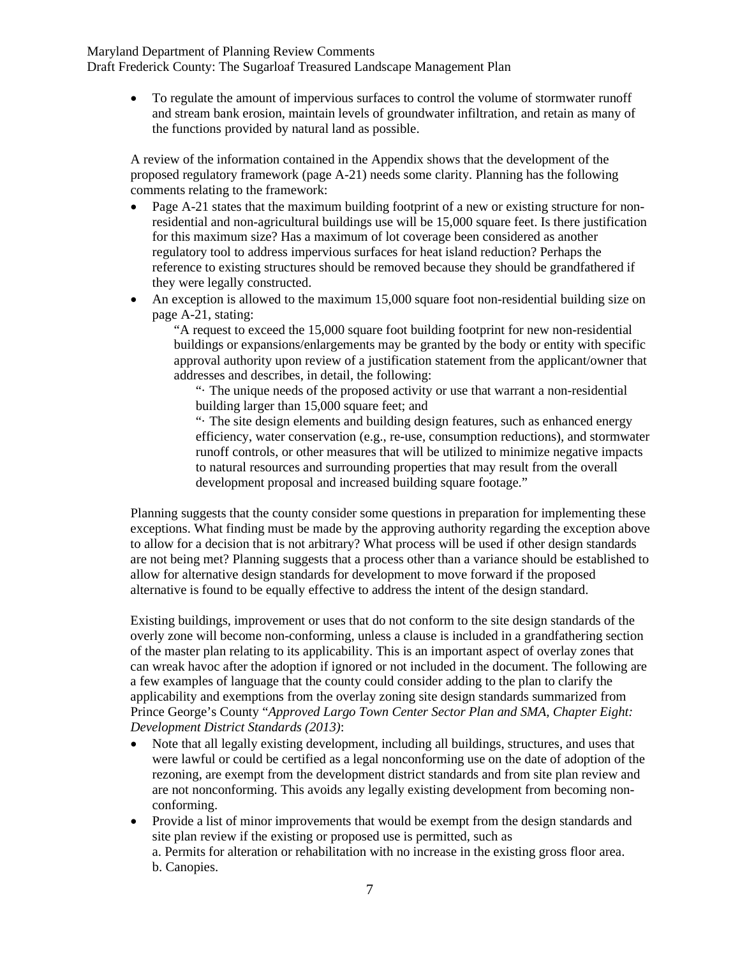> • To regulate the amount of impervious surfaces to control the volume of stormwater runoff and stream bank erosion, maintain levels of groundwater infiltration, and retain as many of the functions provided by natural land as possible.

A review of the information contained in the Appendix shows that the development of the proposed regulatory framework (page A-21) needs some clarity. Planning has the following comments relating to the framework:

- Page A-21 states that the maximum building footprint of a new or existing structure for nonresidential and non-agricultural buildings use will be 15,000 square feet. Is there justification for this maximum size? Has a maximum of lot coverage been considered as another regulatory tool to address impervious surfaces for heat island reduction? Perhaps the reference to existing structures should be removed because they should be grandfathered if they were legally constructed.
- An exception is allowed to the maximum 15,000 square foot non-residential building size on page A-21, stating:

"A request to exceed the 15,000 square foot building footprint for new non-residential buildings or expansions/enlargements may be granted by the body or entity with specific approval authority upon review of a justification statement from the applicant/owner that addresses and describes, in detail, the following:

"· The unique needs of the proposed activity or use that warrant a non-residential building larger than 15,000 square feet; and

"· The site design elements and building design features, such as enhanced energy efficiency, water conservation (e.g., re-use, consumption reductions), and stormwater runoff controls, or other measures that will be utilized to minimize negative impacts to natural resources and surrounding properties that may result from the overall development proposal and increased building square footage."

Planning suggests that the county consider some questions in preparation for implementing these exceptions. What finding must be made by the approving authority regarding the exception above to allow for a decision that is not arbitrary? What process will be used if other design standards are not being met? Planning suggests that a process other than a variance should be established to allow for alternative design standards for development to move forward if the proposed alternative is found to be equally effective to address the intent of the design standard.

Existing buildings, improvement or uses that do not conform to the site design standards of the overly zone will become non-conforming, unless a clause is included in a grandfathering section of the master plan relating to its applicability. This is an important aspect of overlay zones that can wreak havoc after the adoption if ignored or not included in the document. The following are a few examples of language that the county could consider adding to the plan to clarify the applicability and exemptions from the overlay zoning site design standards summarized from Prince George's County "*Approved Largo Town Center Sector Plan and SMA, Chapter Eight: Development District Standards (2013)*:

- Note that all legally existing development, including all buildings, structures, and uses that were lawful or could be certified as a legal nonconforming use on the date of adoption of the rezoning, are exempt from the development district standards and from site plan review and are not nonconforming. This avoids any legally existing development from becoming nonconforming.
- Provide a list of minor improvements that would be exempt from the design standards and site plan review if the existing or proposed use is permitted, such as
	- a. Permits for alteration or rehabilitation with no increase in the existing gross floor area. b. Canopies.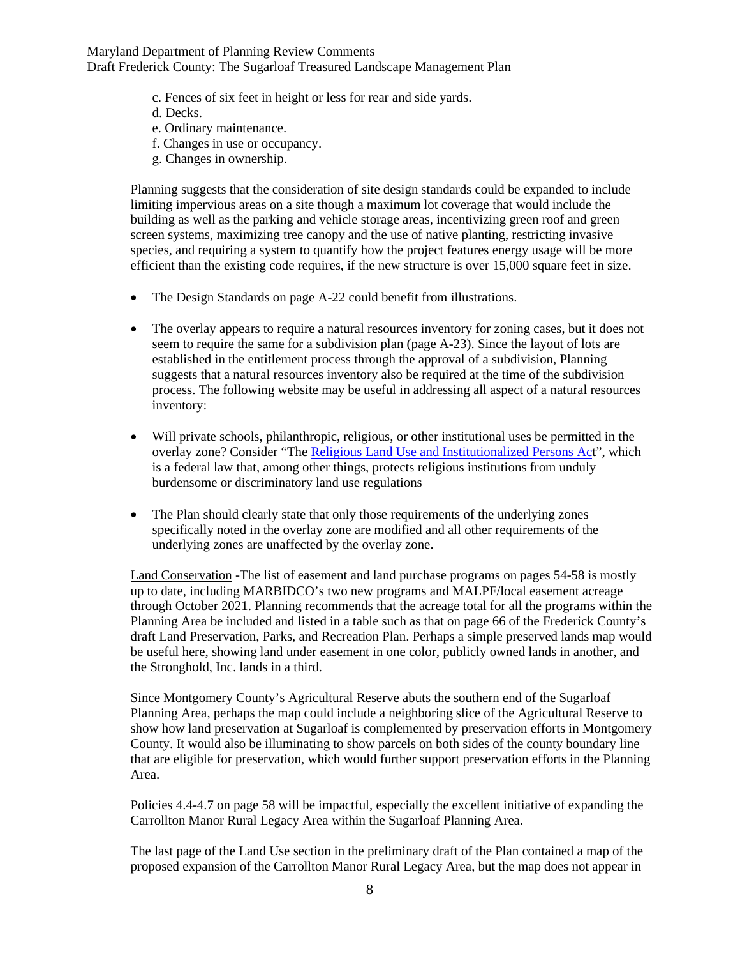- c. Fences of six feet in height or less for rear and side yards.
- d. Decks.
- e. Ordinary maintenance.
- f. Changes in use or occupancy.
- g. Changes in ownership.

Planning suggests that the consideration of site design standards could be expanded to include limiting impervious areas on a site though a maximum lot coverage that would include the building as well as the parking and vehicle storage areas, incentivizing green roof and green screen systems, maximizing tree canopy and the use of native planting, restricting invasive species, and requiring a system to quantify how the project features energy usage will be more efficient than the existing code requires, if the new structure is over 15,000 square feet in size.

- The Design Standards on page A-22 could benefit from illustrations.
- The overlay appears to require a natural resources inventory for zoning cases, but it does not seem to require the same for a subdivision plan (page A-23). Since the layout of lots are established in the entitlement process through the approval of a subdivision, Planning suggests that a natural resources inventory also be required at the time of the subdivision process. The following website may be useful in addressing all aspect of a natural resources inventory:
- Will private schools, philanthropic, religious, or other institutional uses be permitted in the overlay zone? Consider "[The Religious Land Use and Institutionalized Persons Act](https://www.justice.gov/crt/religious-land-use-and-institutionalized-persons-act)", which is a federal law that, among other things, protects religious institutions from unduly burdensome or discriminatory land use regulations
- The Plan should clearly state that only those requirements of the underlying zones specifically noted in the overlay zone are modified and all other requirements of the underlying zones are unaffected by the overlay zone.

Land Conservation -The list of easement and land purchase programs on pages 54-58 is mostly up to date, including MARBIDCO's two new programs and MALPF/local easement acreage through October 2021. Planning recommends that the acreage total for all the programs within the Planning Area be included and listed in a table such as that on page 66 of the Frederick County's draft Land Preservation, Parks, and Recreation Plan. Perhaps a simple preserved lands map would be useful here, showing land under easement in one color, publicly owned lands in another, and the Stronghold, Inc. lands in a third.

Since Montgomery County's Agricultural Reserve abuts the southern end of the Sugarloaf Planning Area, perhaps the map could include a neighboring slice of the Agricultural Reserve to show how land preservation at Sugarloaf is complemented by preservation efforts in Montgomery County. It would also be illuminating to show parcels on both sides of the county boundary line that are eligible for preservation, which would further support preservation efforts in the Planning Area.

Policies 4.4-4.7 on page 58 will be impactful, especially the excellent initiative of expanding the Carrollton Manor Rural Legacy Area within the Sugarloaf Planning Area.

The last page of the Land Use section in the preliminary draft of the Plan contained a map of the proposed expansion of the Carrollton Manor Rural Legacy Area, but the map does not appear in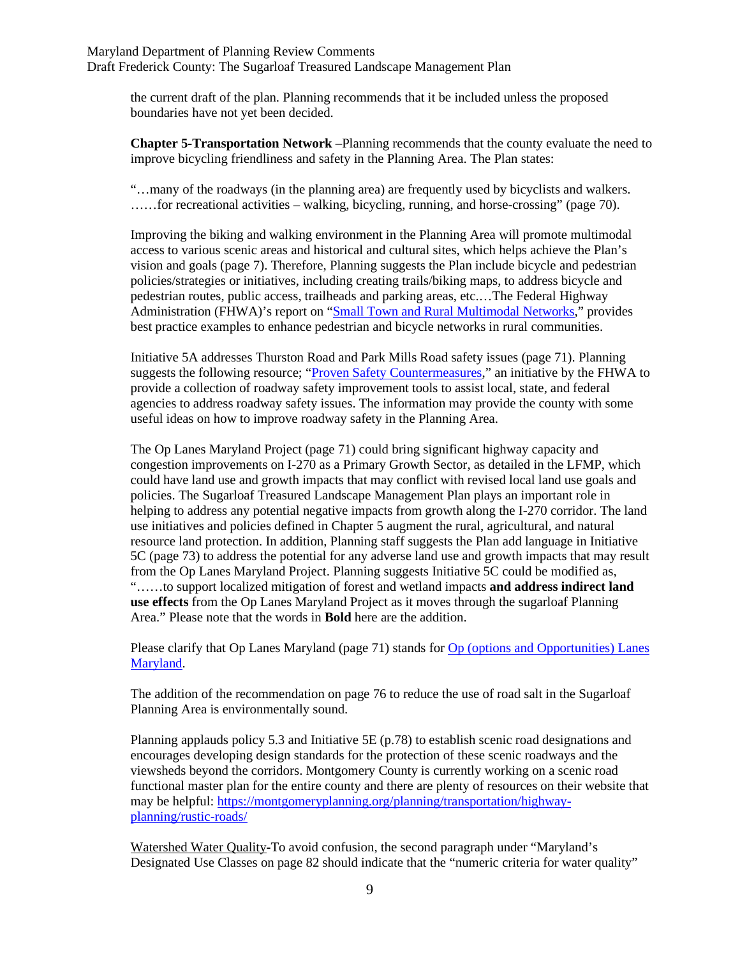the current draft of the plan. Planning recommends that it be included unless the proposed boundaries have not yet been decided.

**Chapter 5-Transportation Network** –Planning recommends that the county evaluate the need to improve bicycling friendliness and safety in the Planning Area. The Plan states:

"…many of the roadways (in the planning area) are frequently used by bicyclists and walkers. ……for recreational activities – walking, bicycling, running, and horse-crossing" (page 70).

Improving the biking and walking environment in the Planning Area will promote multimodal access to various scenic areas and historical and cultural sites, which helps achieve the Plan's vision and goals (page 7). Therefore, Planning suggests the Plan include bicycle and pedestrian policies/strategies or initiatives, including creating trails/biking maps, to address bicycle and pedestrian routes, public access, trailheads and parking areas, etc.…The Federal Highway Administration (FHWA)'s report on ["Small Town and Rural Multimodal Networks,](https://www.fhwa.dot.gov/environment/bicycle_pedestrian/publications/small_towns/)" provides best practice examples to enhance pedestrian and bicycle networks in rural communities.

Initiative 5A addresses Thurston Road and Park Mills Road safety issues (page 71). Planning suggests the following resource; ["Proven Safety Countermeasures,](https://safety.fhwa.dot.gov/provencountermeasures/)" an initiative by the FHWA to provide a collection of roadway safety improvement tools to assist local, state, and federal agencies to address roadway safety issues. The information may provide the county with some useful ideas on how to improve roadway safety in the Planning Area.

The Op Lanes Maryland Project (page 71) could bring significant highway capacity and congestion improvements on I-270 as a Primary Growth Sector, as detailed in the LFMP, which could have land use and growth impacts that may conflict with revised local land use goals and policies. The Sugarloaf Treasured Landscape Management Plan plays an important role in helping to address any potential negative impacts from growth along the I-270 corridor. The land use initiatives and policies defined in Chapter 5 augment the rural, agricultural, and natural resource land protection. In addition, Planning staff suggests the Plan add language in Initiative 5C (page 73) to address the potential for any adverse land use and growth impacts that may result from the Op Lanes Maryland Project. Planning suggests Initiative 5C could be modified as, "……to support localized mitigation of forest and wetland impacts **and address indirect land use effects** from the Op Lanes Maryland Project as it moves through the sugarloaf Planning Area." Please note that the words in **Bold** here are the addition.

Please clarify that Op Lanes Maryland (page 71) stands fo[r Op \(options and Opportunities\) Lanes](https://oplanesmd.com/video-library/)  [Maryland.](https://oplanesmd.com/video-library/)

The addition of the recommendation on page 76 to reduce the use of road salt in the Sugarloaf Planning Area is environmentally sound.

Planning applauds policy 5.3 and Initiative 5E (p.78) to establish scenic road designations and encourages developing design standards for the protection of these scenic roadways and the viewsheds beyond the corridors. Montgomery County is currently working on a scenic road functional master plan for the entire county and there are plenty of resources on their website that may be helpful: [https://montgomeryplanning.org/planning/transportation/highway](https://montgomeryplanning.org/planning/transportation/highway-planning/rustic-roads/)[planning/rustic-roads/](https://montgomeryplanning.org/planning/transportation/highway-planning/rustic-roads/)

Watershed Water Quality**-**To avoid confusion, the second paragraph under "Maryland's Designated Use Classes on page 82 should indicate that the "numeric criteria for water quality"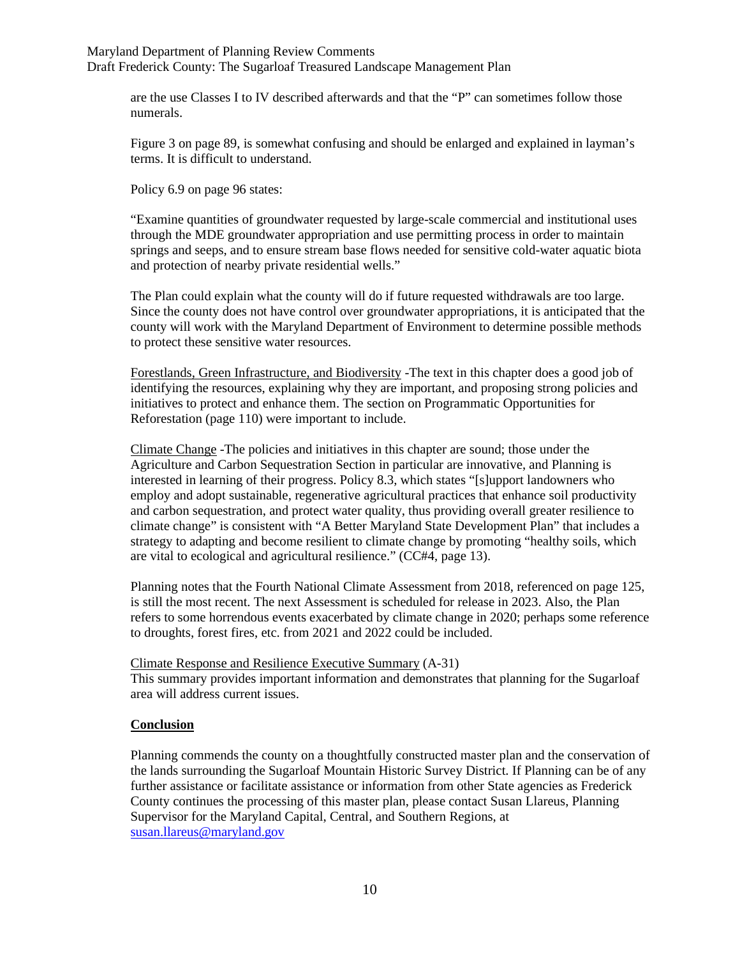are the use Classes I to IV described afterwards and that the "P" can sometimes follow those numerals.

Figure 3 on page 89, is somewhat confusing and should be enlarged and explained in layman's terms. It is difficult to understand.

Policy 6.9 on page 96 states:

"Examine quantities of groundwater requested by large-scale commercial and institutional uses through the MDE groundwater appropriation and use permitting process in order to maintain springs and seeps, and to ensure stream base flows needed for sensitive cold-water aquatic biota and protection of nearby private residential wells."

The Plan could explain what the county will do if future requested withdrawals are too large. Since the county does not have control over groundwater appropriations, it is anticipated that the county will work with the Maryland Department of Environment to determine possible methods to protect these sensitive water resources.

Forestlands, Green Infrastructure, and Biodiversity -The text in this chapter does a good job of identifying the resources, explaining why they are important, and proposing strong policies and initiatives to protect and enhance them. The section on Programmatic Opportunities for Reforestation (page 110) were important to include.

Climate Change -The policies and initiatives in this chapter are sound; those under the Agriculture and Carbon Sequestration Section in particular are innovative, and Planning is interested in learning of their progress. Policy 8.3, which states "[s]upport landowners who employ and adopt sustainable, regenerative agricultural practices that enhance soil productivity and carbon sequestration, and protect water quality, thus providing overall greater resilience to climate change" is consistent with "A Better Maryland State Development Plan" that includes a strategy to adapting and become resilient to climate change by promoting "healthy soils, which are vital to ecological and agricultural resilience." (CC#4, page 13).

Planning notes that the Fourth National Climate Assessment from 2018, referenced on page 125, is still the most recent. The next Assessment is scheduled for release in 2023. Also, the Plan refers to some horrendous events exacerbated by climate change in 2020; perhaps some reference to droughts, forest fires, etc. from 2021 and 2022 could be included.

Climate Response and Resilience Executive Summary (A-31)

This summary provides important information and demonstrates that planning for the Sugarloaf area will address current issues.

#### **Conclusion**

Planning commends the county on a thoughtfully constructed master plan and the conservation of the lands surrounding the Sugarloaf Mountain Historic Survey District. If Planning can be of any further assistance or facilitate assistance or information from other State agencies as Frederick County continues the processing of this master plan, please contact Susan Llareus, Planning Supervisor for the Maryland Capital, Central, and Southern Regions, at susan.llareus@maryland.gov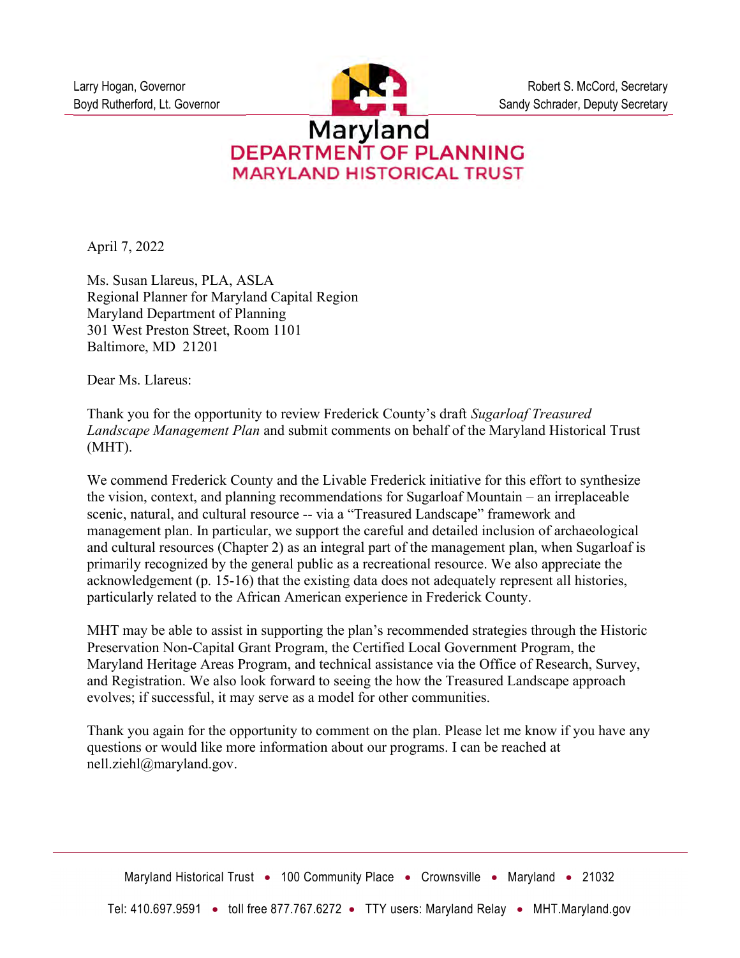

# **DEPARTMENT OF PLANNING MARYLAND HISTORICAL TRUST**

April 7, 2022

Ms. Susan Llareus, PLA, ASLA Regional Planner for Maryland Capital Region Maryland Department of Planning 301 West Preston Street, Room 1101 Baltimore, MD 21201

Dear Ms. Llareus:

Thank you for the opportunity to review Frederick County's draft Sugarloaf Treasured Landscape Management Plan and submit comments on behalf of the Maryland Historical Trust (MHT).

We commend Frederick County and the Livable Frederick initiative for this effort to synthesize the vision, context, and planning recommendations for Sugarloaf Mountain – an irreplaceable scenic, natural, and cultural resource -- via a "Treasured Landscape" framework and management plan. In particular, we support the careful and detailed inclusion of archaeological and cultural resources (Chapter 2) as an integral part of the management plan, when Sugarloaf is primarily recognized by the general public as a recreational resource. We also appreciate the acknowledgement (p. 15-16) that the existing data does not adequately represent all histories, particularly related to the African American experience in Frederick County.

MHT may be able to assist in supporting the plan's recommended strategies through the Historic Preservation Non-Capital Grant Program, the Certified Local Government Program, the Maryland Heritage Areas Program, and technical assistance via the Office of Research, Survey, and Registration. We also look forward to seeing the how the Treasured Landscape approach evolves; if successful, it may serve as a model for other communities.

Thank you again for the opportunity to comment on the plan. Please let me know if you have any questions or would like more information about our programs. I can be reached at nell.ziehl@maryland.gov.